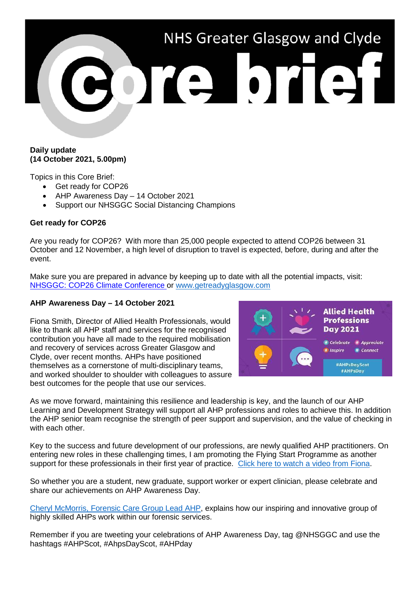

## **Daily update (14 October 2021, 5.00pm)**

Topics in this Core Brief:

- Get ready for COP26
- AHP Awareness Day 14 October 2021
- Support our NHSGGC Social Distancing Champions

## **Get ready for COP26**

Are you ready for COP26? With more than 25,000 people expected to attend COP26 between 31 October and 12 November, a high level of disruption to travel is expected, before, during and after the event.

Make sure you are prepared in advance by keeping up to date with all the potential impacts, visit: [NHSGGC: COP26 Climate Conference](https://www.nhsggc.org.uk/about-us/cop26-conference/staff-information/) or [www.getreadyglasgow.com](http://www.getreadyglasgow.com/)

## **AHP Awareness Day – 14 October 2021**

Fiona Smith, Director of Allied Health Professionals, would like to thank all AHP staff and services for the recognised contribution you have all made to the required mobilisation and recovery of services across Greater Glasgow and Clyde, over recent months. AHPs have positioned themselves as a cornerstone of multi-disciplinary teams, and worked shoulder to shoulder with colleagues to assure best outcomes for the people that use our services.



As we move forward, maintaining this resilience and leadership is key, and the launch of our AHP Learning and Development Strategy will support all AHP professions and roles to achieve this. In addition the AHP senior team recognise the strength of peer support and supervision, and the value of checking in with each other.

Key to the success and future development of our professions, are newly qualified AHP practitioners. On entering new roles in these challenging times, I am promoting the Flying Start Programme as another support for these professionals in their first year of practice. [Click here to watch a video from Fiona.](https://youtu.be/oW4oBof6r4k)

So whether you are a student, new graduate, support worker or expert clinician, please celebrate and share our achievements on AHP Awareness Day.

[Cheryl McMorris, Forensic Care Group Lead AHP,](https://youtu.be/o0u0bBwowfo) explains how our inspiring and innovative group of highly skilled AHPs work within our forensic services.

Remember if you are tweeting your celebrations of AHP Awareness Day, tag @NHSGGC and use the hashtags #AHPScot, #AhpsDayScot, #AHPday